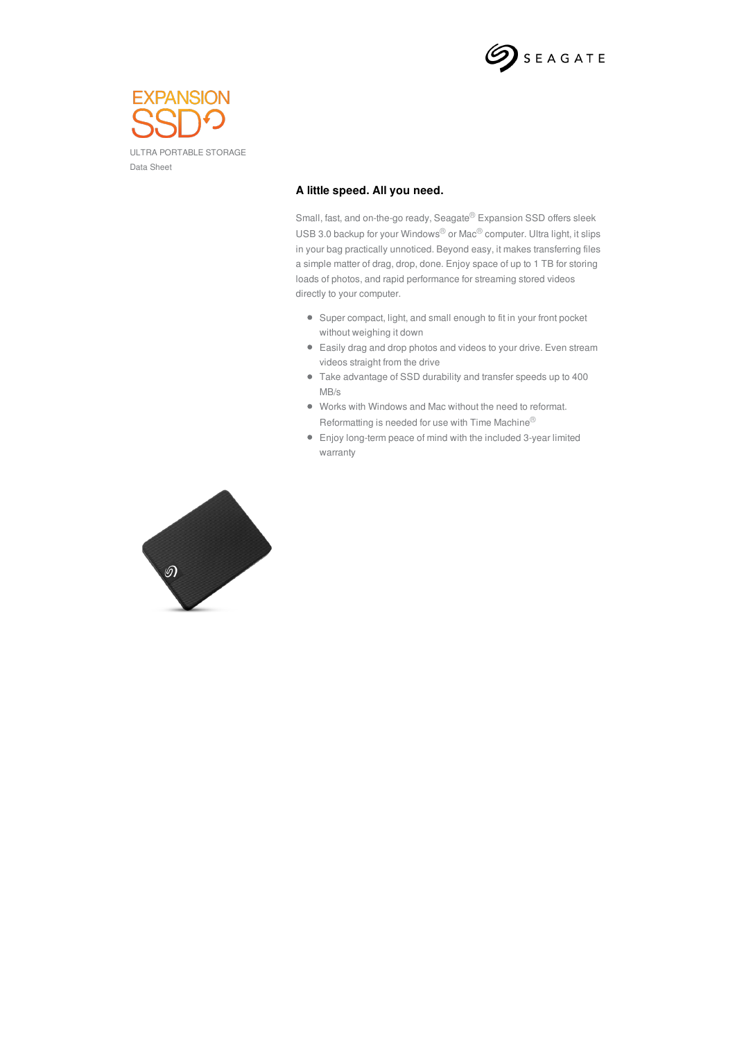



## **A little speed. All you need.**

Small, fast, and on-the-go ready, Seagate<sup>®</sup> Expansion SSD offers sleek USB 3.0 backup for your Windows® or Mac® computer. Ultra light, it slips in your bag practically unnoticed. Beyond easy, it makes transferring files a simple matter of drag, drop, done. Enjoy space of up to 1 TB for storing loads of photos, and rapid performance for streaming stored videos directly to your computer.

- Super compact, light, and small enough to fit in your front pocket without weighing it down
- Easily drag and drop photos and videos to your drive. Even stream videos straight from the drive
- Take advantage of SSD durability and transfer speeds up to 400 MB/s
- Works with Windows and Mac without the need to reformat. Reformatting is needed for use with Time Machine®
- Enjoy long-term peace of mind with the included 3-year limited warranty